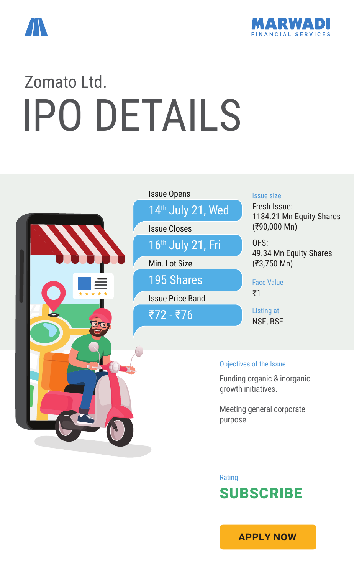



# Zomato Ltd. IPO DETAILS



## Issue Price Band ₹72 - ₹76 Min. Lot Size 195 Shares Issue Closes 16th July 21, Fri Issue Opens 14<sup>th</sup> July 21, Wed

#### Issue size

Fresh Issue: 1184.21 Mn Equity Shares (₹90,000 Mn)

OFS: 49.34 Mn Equity Shares (₹3,750 Mn)

Face Value ₹1

Listing at NSE, BSE

#### Objectives of the Issue

Funding organic & inorganic growth initiatives.

Meeting general corporate purpose.

Rating **SUBSCRIBE** 

**[APPLY NOW](https://boffice.marwadionline.com/MSFLBackoffice/ipo.aspx)**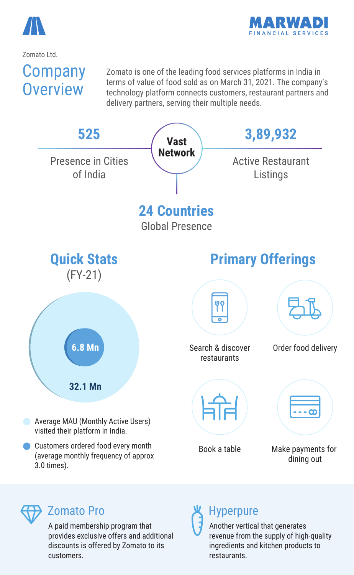



Zomato Ltd.

### Company **Overview**

Zomato is one of the leading food services platforms in India in terms of value of food sold as on March 31, 2021. The company's technology platform connects customers, restaurant partners and delivery partners, serving their multiple needs.





#### Zomato Pro

A paid membership program that provides exclusive offers and additional discounts is offered by Zomato to its customers.

#### Hyperpure

Another vertical that generates revenue from the supply of high-quality ingredients and kitchen products to restaurants.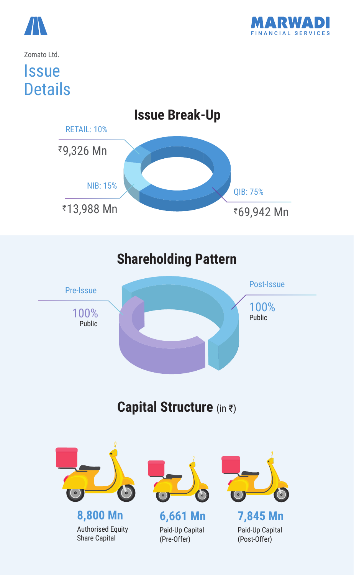



#### Zomato Ltd.

### **Issue Details**



### **Shareholding Pattern**



#### **Capital Structure** (in ₹)

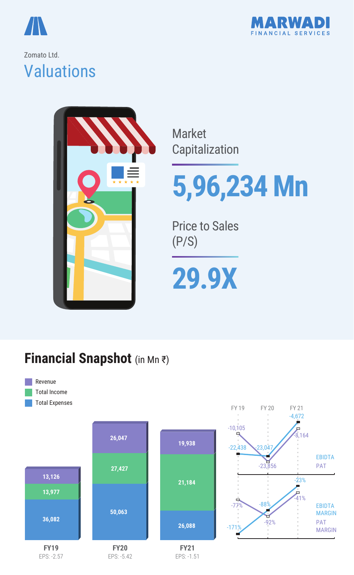



#### Zomato Ltd. **Valuations**



Market Capitalization

# **5,96,234 Mn**

Price to Sales (P/S)

# **29.9X**

#### **Financial Snapshot** (in Mn ₹)